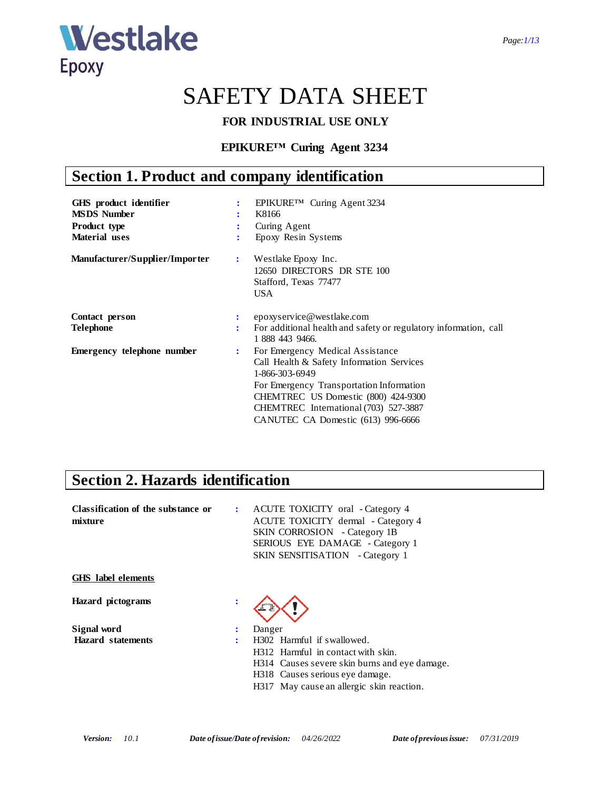

# SAFETY DATA SHEET

### **FOR INDUSTRIAL USE ONLY**

### **EPIKURE™ Curing Agent 3234**

# **Section 1. Product and company identification**

| GHS product identifier<br><b>MSDS</b> Number<br><b>Product type</b><br><b>Material</b> uses | ÷              | EPIKURE™ Curing Agent 3234<br>K8166<br>Curing Agent<br>Epoxy Resin Systems                                                                                                                                                                                        |
|---------------------------------------------------------------------------------------------|----------------|-------------------------------------------------------------------------------------------------------------------------------------------------------------------------------------------------------------------------------------------------------------------|
| Manufacturer/Supplier/Importer                                                              | $\ddot{\cdot}$ | Westlake Epoxy Inc.<br>12650 DIRECTORS DR STE 100<br>Stafford, Texas 77477<br><b>USA</b>                                                                                                                                                                          |
| Contact person                                                                              |                | epoxyservice@westlake.com                                                                                                                                                                                                                                         |
| <b>Telephone</b>                                                                            | ÷              | For additional health and safety or regulatory information, call<br>1 888 443 9466.                                                                                                                                                                               |
| <b>Emergency telephone number</b>                                                           | ÷              | For Emergency Medical Assistance<br>Call Health & Safety Information Services<br>1-866-303-6949<br>For Emergency Transportation Information<br>CHEMTREC US Domestic (800) 424-9300<br>CHEMTREC International (703) 527-3887<br>CANUTEC CA Domestic (613) 996-6666 |

### **Section 2. Hazards identification**

| Classification of the substance or<br>mixture |                        | : ACUTE TOXICITY oral - Category 4<br>ACUTE TOXICITY dermal - Category 4<br>SKIN CORROSION - Category 1B<br>SERIOUS EYE DAMAGE - Category 1<br><b>SKIN SENSITISATION</b> - Category 1 |
|-----------------------------------------------|------------------------|---------------------------------------------------------------------------------------------------------------------------------------------------------------------------------------|
| <b>GHS</b> label elements                     |                        |                                                                                                                                                                                       |
| Hazard pictograms                             |                        |                                                                                                                                                                                       |
| Signal word                                   | $\bullet$<br>$\bullet$ | Danger                                                                                                                                                                                |
| <b>Hazard</b> statements                      |                        | H <sub>302</sub> Harmful if swallowed.                                                                                                                                                |
|                                               |                        | H312 Harmful in contact with skin.                                                                                                                                                    |
|                                               |                        | H314 Causes severe skin burns and eye damage.                                                                                                                                         |
|                                               |                        | H318 Causes serious eye damage.                                                                                                                                                       |
|                                               |                        | H317 May cause an allergic skin reaction.                                                                                                                                             |
|                                               |                        |                                                                                                                                                                                       |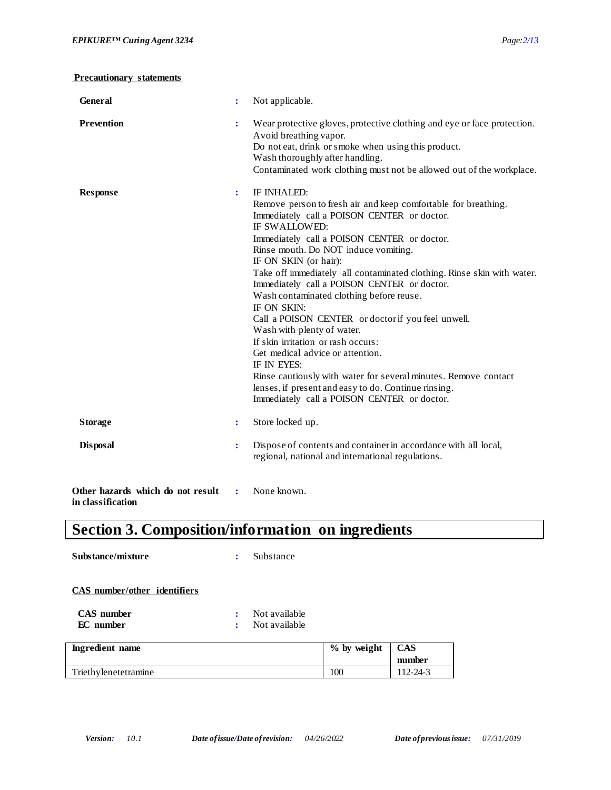| <b>General</b>                                         |                | Not applicable.                                                                                                                                                                                                                                                                                                                                                                                                                                                                                                                                                                                                                                                                                                                                                                                          |
|--------------------------------------------------------|----------------|----------------------------------------------------------------------------------------------------------------------------------------------------------------------------------------------------------------------------------------------------------------------------------------------------------------------------------------------------------------------------------------------------------------------------------------------------------------------------------------------------------------------------------------------------------------------------------------------------------------------------------------------------------------------------------------------------------------------------------------------------------------------------------------------------------|
| <b>Prevention</b>                                      | $\ddot{\cdot}$ | Wear protective gloves, protective clothing and eye or face protection.<br>Avoid breathing vapor.<br>Do not eat, drink or smoke when using this product.<br>Wash thoroughly after handling.<br>Contaminated work clothing must not be allowed out of the workplace.                                                                                                                                                                                                                                                                                                                                                                                                                                                                                                                                      |
| <b>Response</b>                                        | $\ddot{\cdot}$ | IF INHALED:<br>Remove person to fresh air and keep comfortable for breathing.<br>Immediately call a POISON CENTER or doctor.<br>IF SWALLOWED:<br>Immediately call a POISON CENTER or doctor.<br>Rinse mouth. Do NOT induce vomiting.<br>IF ON SKIN (or hair):<br>Take off immediately all contaminated clothing. Rinse skin with water.<br>Immediately call a POISON CENTER or doctor.<br>Wash contaminated clothing before reuse.<br>IF ON SKIN:<br>Call a POISON CENTER or doctor if you feel unwell.<br>Wash with plenty of water.<br>If skin irritation or rash occurs:<br>Get medical advice or attention.<br>IF IN EYES:<br>Rinse cautiously with water for several minutes. Remove contact<br>lenses, if present and easy to do. Continue rinsing.<br>Immediately call a POISON CENTER or doctor. |
| <b>Storage</b>                                         | $\ddot{\cdot}$ | Store locked up.                                                                                                                                                                                                                                                                                                                                                                                                                                                                                                                                                                                                                                                                                                                                                                                         |
| <b>Disposal</b>                                        | $\ddot{\cdot}$ | Dispose of contents and container in accordance with all local,<br>regional, national and international regulations.                                                                                                                                                                                                                                                                                                                                                                                                                                                                                                                                                                                                                                                                                     |
| Other hazards which do not result<br>in classification | $\ddot{\cdot}$ | None known.                                                                                                                                                                                                                                                                                                                                                                                                                                                                                                                                                                                                                                                                                                                                                                                              |

# **Section 3. Composition/information on ingredients**

| Substance/mixture                     | ÷              | Substance                      |               |            |
|---------------------------------------|----------------|--------------------------------|---------------|------------|
| CAS number/other identifiers          |                |                                |               |            |
| <b>CAS</b> number<br><b>EC</b> number | $\bullet$<br>÷ | Not available<br>Not available |               |            |
| Ingredient name                       |                |                                | $%$ by weight | <b>CAS</b> |
|                                       |                |                                |               | number     |
| Triethylenetetramine                  |                |                                | 100           | 112-24-3   |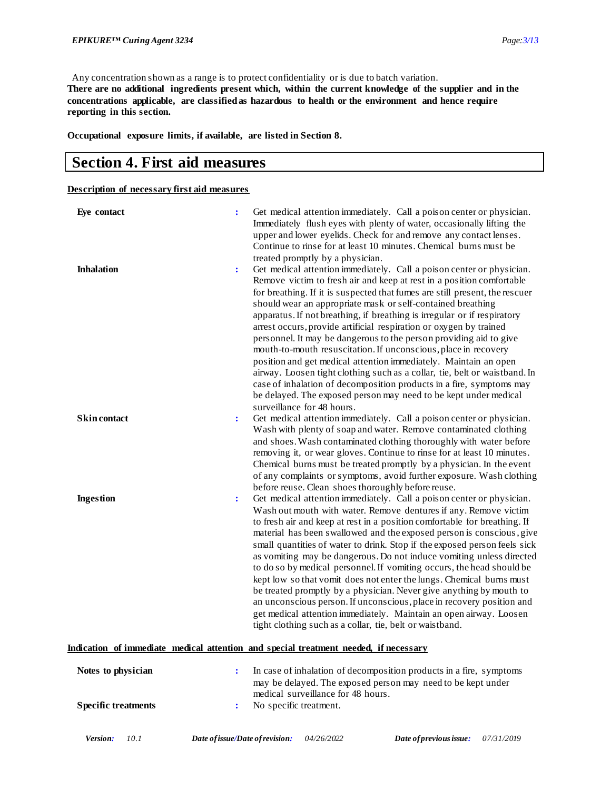Any concentration shown as a range is to protect confidentiality or is due to batch variation. **There are no additional ingredients present which, within the current knowledge of the supplier and in the concentrations applicable, are classified as hazardous to health or the environment and hence require reporting in this section.**

**Occupational exposure limits, if available, are listed in Section 8.**

### **Section 4. First aid measures**

**Description of necessary first aid measures**

| Eye contact         | $\ddot{\cdot}$ | Get medical attention immediately. Call a poison center or physician.<br>Immediately flush eyes with plenty of water, occasionally lifting the<br>upper and lower eyelids. Check for and remove any contact lenses.<br>Continue to rinse for at least 10 minutes. Chemical burns must be<br>treated promptly by a physician.                                                                                                                                                                                                                                                                                                                                                                                                                                                                                                                                                                                        |
|---------------------|----------------|---------------------------------------------------------------------------------------------------------------------------------------------------------------------------------------------------------------------------------------------------------------------------------------------------------------------------------------------------------------------------------------------------------------------------------------------------------------------------------------------------------------------------------------------------------------------------------------------------------------------------------------------------------------------------------------------------------------------------------------------------------------------------------------------------------------------------------------------------------------------------------------------------------------------|
| <b>Inhalation</b>   | $\ddot{\cdot}$ | Get medical attention immediately. Call a poison center or physician.<br>Remove victim to fresh air and keep at rest in a position comfortable<br>for breathing. If it is suspected that fumes are still present, the rescuer<br>should wear an appropriate mask or self-contained breathing<br>apparatus. If not breathing, if breathing is irregular or if respiratory<br>arrest occurs, provide artificial respiration or oxygen by trained<br>personnel. It may be dangerous to the person providing aid to give<br>mouth-to-mouth resuscitation. If unconscious, place in recovery<br>position and get medical attention immediately. Maintain an open<br>airway. Loosen tight clothing such as a collar, tie, belt or waistband. In<br>case of inhalation of decomposition products in a fire, symptoms may<br>be delayed. The exposed person may need to be kept under medical<br>surveillance for 48 hours. |
| <b>Skin contact</b> | $\ddot{\cdot}$ | Get medical attention immediately. Call a poison center or physician.<br>Wash with plenty of soap and water. Remove contaminated clothing<br>and shoes. Wash contaminated clothing thoroughly with water before<br>removing it, or wear gloves. Continue to rinse for at least 10 minutes.<br>Chemical burns must be treated promptly by a physician. In the event<br>of any complaints or symptoms, avoid further exposure. Wash clothing<br>before reuse. Clean shoes thoroughly before reuse.                                                                                                                                                                                                                                                                                                                                                                                                                    |
| <b>Ingestion</b>    | $\ddot{\cdot}$ | Get medical attention immediately. Call a poison center or physician.<br>Wash out mouth with water. Remove dentures if any. Remove victim<br>to fresh air and keep at rest in a position comfortable for breathing. If<br>material has been swallowed and the exposed person is conscious, give<br>small quantities of water to drink. Stop if the exposed person feels sick<br>as vomiting may be dangerous. Do not induce vomiting unless directed<br>to do so by medical personnel. If vomiting occurs, the head should be<br>kept low so that vomit does not enter the lungs. Chemical burns must<br>be treated promptly by a physician. Never give anything by mouth to<br>an unconscious person. If unconscious, place in recovery position and<br>get medical attention immediately. Maintain an open airway. Loosen<br>tight clothing such as a collar, tie, belt or waistband.                             |

#### **Indication of immediate medical attention and special treatment needed, if necessary**

| Notes to physician         | In case of inhalation of decomposition products in a fire, symptoms<br>may be delayed. The exposed person may need to be kept under<br>medical surveillance for 48 hours. |
|----------------------------|---------------------------------------------------------------------------------------------------------------------------------------------------------------------------|
| <b>Specific treatments</b> | No specific treatment.                                                                                                                                                    |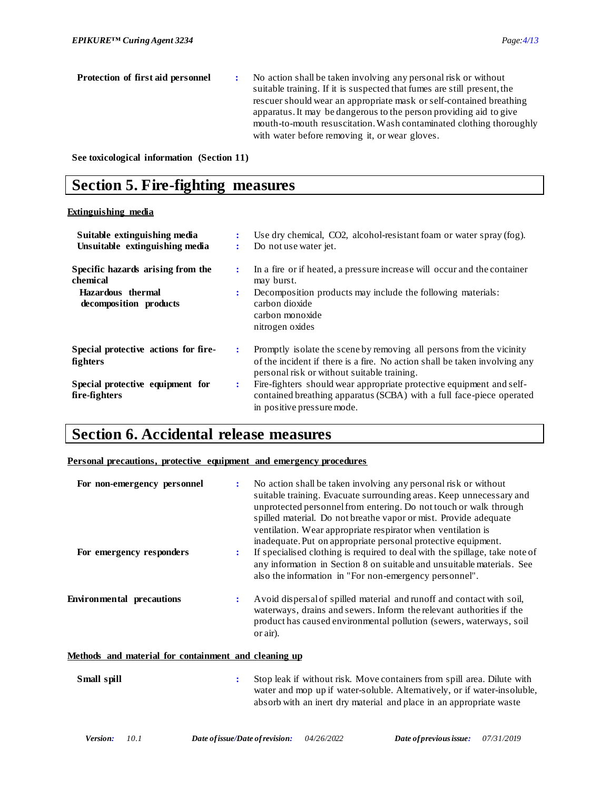| Protection of first aid personnel | No action shall be taken involving any personal risk or without<br>suitable training. If it is suspected that fumes are still present, the |
|-----------------------------------|--------------------------------------------------------------------------------------------------------------------------------------------|
|                                   | rescuer should wear an appropriate mask or self-contained breathing                                                                        |
|                                   | apparatus. It may be dangerous to the person providing aid to give                                                                         |
|                                   | mouth-to-mouth resuscitation. Wash contaminated clothing thoroughly                                                                        |
|                                   | with water before removing it, or wear gloves.                                                                                             |

**See toxicological information (Section 11)**

### **Section 5. Fire-fighting measures**

#### **Extinguishing media**

| Suitable extinguishing media<br>Unsuitable extinguishing media | $\ddot{\cdot}$       | Use dry chemical, CO2, alcohol-resistant foam or water spray (fog).<br>Do not use water jet.                                                                                                      |
|----------------------------------------------------------------|----------------------|---------------------------------------------------------------------------------------------------------------------------------------------------------------------------------------------------|
| Specific hazards arising from the<br>chemical                  | ÷                    | In a fire or if heated, a pressure increase will occur and the container<br>may burst.                                                                                                            |
| Hazardous thermal<br>decomposition products                    | $\ddot{\phantom{a}}$ | Decomposition products may include the following materials:<br>carbon dioxide<br>carbon monoxide<br>nitrogen oxides                                                                               |
| Special protective actions for fire-<br>fighters               | ÷                    | Promptly isolate the scene by removing all persons from the vicinity<br>of the incident if there is a fire. No action shall be taken involving any<br>personal risk or without suitable training. |
| Special protective equipment for<br>fire-fighters              | $\ddot{\cdot}$       | Fire-fighters should wear appropriate protective equipment and self-<br>contained breathing apparatus (SCBA) with a full face-piece operated<br>in positive pressure mode.                        |

### **Section 6. Accidental release measures**

#### **Personal precautions, protective equipment and emergency procedures**

| For non-emergency personnel      | No action shall be taken involving any personal risk or without<br>suitable training. Evacuate surrounding areas. Keep unnecessary and<br>unprotected personnel from entering. Do not touch or walk through<br>spilled material. Do not breathe vapor or mist. Provide adequate<br>ventilation. Wear appropriate respirator when ventilation is<br>inadequate. Put on appropriate personal protective equipment. |
|----------------------------------|------------------------------------------------------------------------------------------------------------------------------------------------------------------------------------------------------------------------------------------------------------------------------------------------------------------------------------------------------------------------------------------------------------------|
| For emergency responders         | If specialised clothing is required to deal with the spillage, take note of<br>any information in Section 8 on suitable and unsuitable materials. See<br>also the information in "For non-emergency personnel".                                                                                                                                                                                                  |
| <b>Environmental precautions</b> | Avoid dispersal of spilled material and runoff and contact with soil,<br>waterways, drains and sewers. Inform the relevant authorities if the<br>product has caused environmental pollution (sewers, waterways, soil<br>or air).                                                                                                                                                                                 |

#### **Methods and material for containment and cleaning up**

| Small spill | Stop leak if without risk. Move containers from spill area. Dilute with<br>water and mop up if water-soluble. Alternatively, or if water-insoluble, |
|-------------|-----------------------------------------------------------------------------------------------------------------------------------------------------|
|             | absorb with an inert dry material and place in an appropriate waste                                                                                 |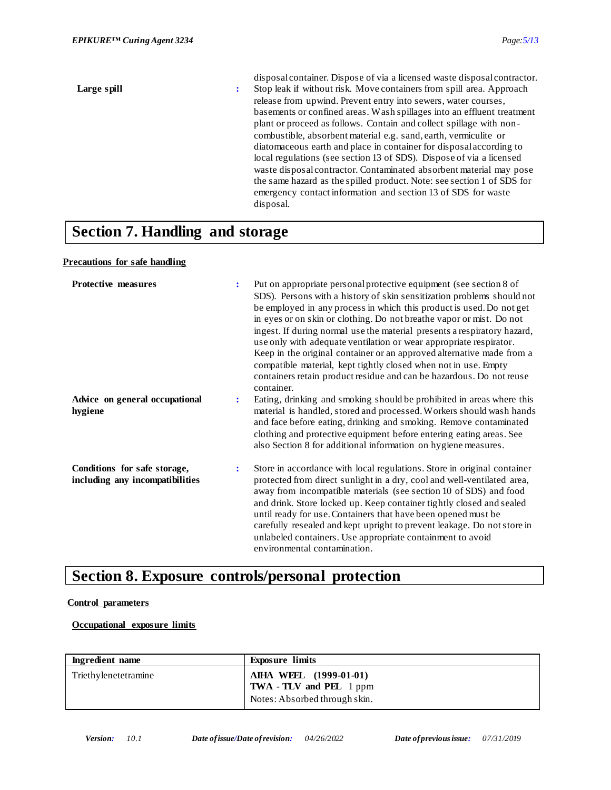| Large spill | disposal container. Dispose of via a licensed waste disposal contractor.<br>Stop leak if without risk. Move containers from spill area. Approach<br>÷<br>release from upwind. Prevent entry into sewers, water courses,<br>basements or confined areas. Wash spillages into an effluent treatment<br>plant or proceed as follows. Contain and collect spillage with non-<br>combustible, absorbent material e.g. sand, earth, vermiculite or<br>diatomaceous earth and place in container for disposal according to<br>local regulations (see section 13 of SDS). Dispose of via a licensed<br>waste disposal contractor. Contaminated absorbent material may pose<br>the same hazard as the spilled product. Note: see section 1 of SDS for |
|-------------|----------------------------------------------------------------------------------------------------------------------------------------------------------------------------------------------------------------------------------------------------------------------------------------------------------------------------------------------------------------------------------------------------------------------------------------------------------------------------------------------------------------------------------------------------------------------------------------------------------------------------------------------------------------------------------------------------------------------------------------------|
|             | emergency contact information and section 13 of SDS for waste<br>disposal.                                                                                                                                                                                                                                                                                                                                                                                                                                                                                                                                                                                                                                                                   |
| $\sim$      |                                                                                                                                                                                                                                                                                                                                                                                                                                                                                                                                                                                                                                                                                                                                              |

### **Section 7. Handling and storage**

#### **Precautions for safe handling**

| <b>Protective measures</b>                                      | ÷              | Put on appropriate personal protective equipment (see section 8 of<br>SDS). Persons with a history of skin sensitization problems should not<br>be employed in any process in which this product is used. Do not get<br>in eyes or on skin or clothing. Do not breathe vapor or mist. Do not<br>ingest. If during normal use the material presents a respiratory hazard,<br>use only with adequate ventilation or wear appropriate respirator.<br>Keep in the original container or an approved alternative made from a<br>compatible material, kept tightly closed when not in use. Empty<br>containers retain product residue and can be hazardous. Do not reuse<br>container. |
|-----------------------------------------------------------------|----------------|----------------------------------------------------------------------------------------------------------------------------------------------------------------------------------------------------------------------------------------------------------------------------------------------------------------------------------------------------------------------------------------------------------------------------------------------------------------------------------------------------------------------------------------------------------------------------------------------------------------------------------------------------------------------------------|
| Advice on general occupational<br>hygiene                       | $\ddot{\cdot}$ | Eating, drinking and smoking should be prohibited in areas where this<br>material is handled, stored and processed. Workers should wash hands<br>and face before eating, drinking and smoking. Remove contaminated<br>clothing and protective equipment before entering eating areas. See<br>also Section 8 for additional information on hygiene measures.                                                                                                                                                                                                                                                                                                                      |
| Conditions for safe storage,<br>including any incompatibilities | $\ddot{\cdot}$ | Store in accordance with local regulations. Store in original container<br>protected from direct sunlight in a dry, cool and well-ventilated area,<br>away from incompatible materials (see section 10 of SDS) and food<br>and drink. Store locked up. Keep container tightly closed and sealed<br>until ready for use. Containers that have been opened must be.<br>carefully resealed and kept upright to prevent leakage. Do not store in<br>unlabeled containers. Use appropriate containment to avoid<br>environmental contamination.                                                                                                                                       |

# **Section 8. Exposure controls/personal protection**

#### **Control parameters**

#### **Occupational exposure limits**

| Ingredient name      | <b>Exposure limits</b>                                                                           |
|----------------------|--------------------------------------------------------------------------------------------------|
| Triethylenetetramine | <b>AIHA WEEL</b> (1999-01-01)<br><b>TWA - TLV and PEL</b> 1 ppm<br>Notes: Absorbed through skin. |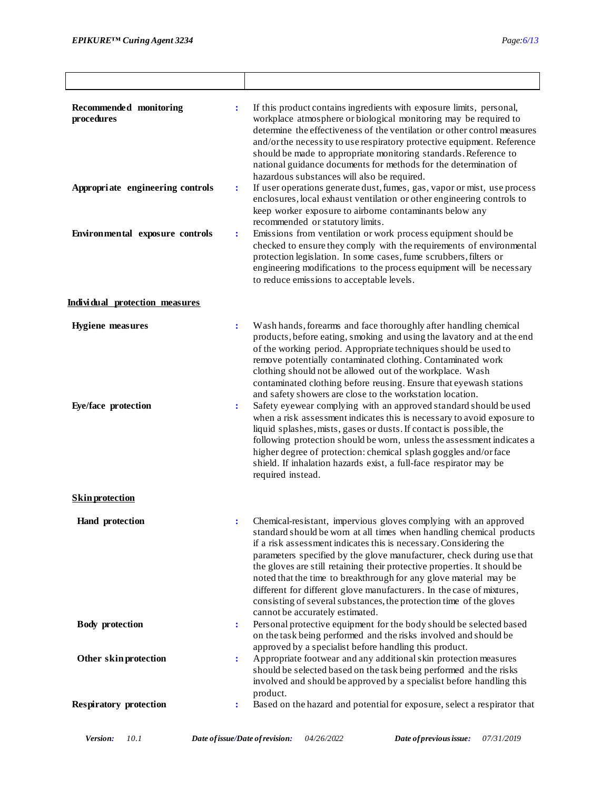| Recommended monitoring<br>procedures<br>Appropriate engineering controls | $\ddot{\cdot}$<br>$\ddot{\cdot}$ | If this product contains ingredients with exposure limits, personal,<br>workplace atmosphere or biological monitoring may be required to<br>determine the effectiveness of the ventilation or other control measures<br>and/or the necessity to use respiratory protective equipment. Reference<br>should be made to appropriate monitoring standards. Reference to<br>national guidance documents for methods for the determination of<br>hazardous substances will also be required.<br>If user operations generate dust, fumes, gas, vapor or mist, use process<br>enclosures, local exhaust ventilation or other engineering controls to<br>keep worker exposure to airborne contaminants below any                                                                                                                                                                                                                 |
|--------------------------------------------------------------------------|----------------------------------|-------------------------------------------------------------------------------------------------------------------------------------------------------------------------------------------------------------------------------------------------------------------------------------------------------------------------------------------------------------------------------------------------------------------------------------------------------------------------------------------------------------------------------------------------------------------------------------------------------------------------------------------------------------------------------------------------------------------------------------------------------------------------------------------------------------------------------------------------------------------------------------------------------------------------|
| Environmental exposure controls                                          | $\ddot{\cdot}$                   | recommended or statutory limits.<br>Emissions from ventilation or work process equipment should be<br>checked to ensure they comply with the requirements of environmental<br>protection legislation. In some cases, fume scrubbers, filters or<br>engineering modifications to the process equipment will be necessary<br>to reduce emissions to acceptable levels.                                                                                                                                                                                                                                                                                                                                                                                                                                                                                                                                                    |
| Individual protection measures                                           |                                  |                                                                                                                                                                                                                                                                                                                                                                                                                                                                                                                                                                                                                                                                                                                                                                                                                                                                                                                         |
| <b>Hygiene</b> measures<br>Eye/face protection                           | $\ddot{\cdot}$<br>$\ddot{\cdot}$ | Wash hands, forearms and face thoroughly after handling chemical<br>products, before eating, smoking and using the lavatory and at the end<br>of the working period. Appropriate techniques should be used to<br>remove potentially contaminated clothing. Contaminated work<br>clothing should not be allowed out of the workplace. Wash<br>contaminated clothing before reusing. Ensure that eyewash stations<br>and safety showers are close to the workstation location.<br>Safety eyewear complying with an approved standard should be used<br>when a risk assessment indicates this is necessary to avoid exposure to<br>liquid splashes, mists, gases or dusts. If contact is possible, the<br>following protection should be worn, unless the assessment indicates a<br>higher degree of protection: chemical splash goggles and/or face<br>shield. If inhalation hazards exist, a full-face respirator may be |
|                                                                          |                                  | required instead.                                                                                                                                                                                                                                                                                                                                                                                                                                                                                                                                                                                                                                                                                                                                                                                                                                                                                                       |
| <b>Skin protection</b>                                                   |                                  |                                                                                                                                                                                                                                                                                                                                                                                                                                                                                                                                                                                                                                                                                                                                                                                                                                                                                                                         |
| <b>Hand</b> protection                                                   |                                  | Chemical-resistant, impervious gloves complying with an approved<br>standard should be worn at all times when handling chemical products<br>if a risk assessment indicates this is necessary. Considering the<br>parameters specified by the glove manufacturer, check during use that<br>the gloves are still retaining their protective properties. It should be<br>noted that the time to breakthrough for any glove material may be<br>different for different glove manufacturers. In the case of mixtures,<br>consisting of several substances, the protection time of the gloves<br>cannot be accurately estimated.                                                                                                                                                                                                                                                                                              |
| <b>Body</b> protection                                                   | $\ddot{\cdot}$                   | Personal protective equipment for the body should be selected based<br>on the task being performed and the risks involved and should be<br>approved by a specialist before handling this product.                                                                                                                                                                                                                                                                                                                                                                                                                                                                                                                                                                                                                                                                                                                       |
| Other skin protection                                                    | $\ddot{\cdot}$                   | Appropriate footwear and any additional skin protection measures<br>should be selected based on the task being performed and the risks<br>involved and should be approved by a specialist before handling this<br>product.                                                                                                                                                                                                                                                                                                                                                                                                                                                                                                                                                                                                                                                                                              |
| <b>Respiratory protection</b>                                            | $\ddot{\cdot}$                   | Based on the hazard and potential for exposure, select a respirator that                                                                                                                                                                                                                                                                                                                                                                                                                                                                                                                                                                                                                                                                                                                                                                                                                                                |
|                                                                          |                                  |                                                                                                                                                                                                                                                                                                                                                                                                                                                                                                                                                                                                                                                                                                                                                                                                                                                                                                                         |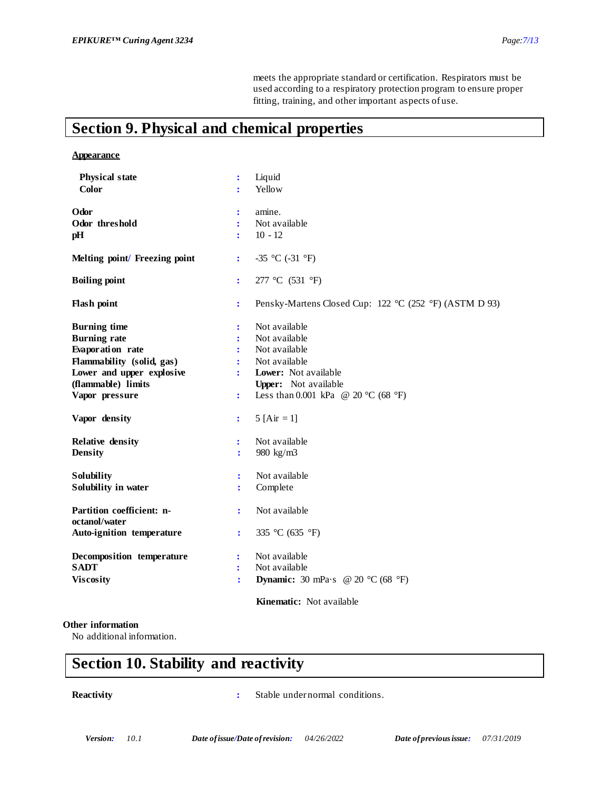meets the appropriate standard or certification. Respirators must be used according to a respiratory protection program to ensure proper fitting, training, and other important aspects of use.

# **Section 9. Physical and chemical properties**

#### **Appearance**

| <b>Physical state</b>                      | $\ddot{\cdot}$       | Liquid                                                       |
|--------------------------------------------|----------------------|--------------------------------------------------------------|
| <b>Color</b>                               | ÷                    | Yellow                                                       |
|                                            |                      |                                                              |
| Odor                                       | $\ddot{\cdot}$       | amine.                                                       |
| Odor threshold                             | ÷                    | Not available                                                |
| pH                                         | ÷                    | $10 - 12$                                                    |
| Melting point/ Freezing point              | $\ddot{\cdot}$       | -35 °C (-31 °F)                                              |
| <b>Boiling point</b>                       | ÷                    | 277 °C (531 °F)                                              |
| <b>Flash point</b>                         | $\ddot{\cdot}$       | Pensky-Martens Closed Cup: 122 °C (252 °F) (ASTM D 93)       |
| <b>Burning time</b>                        | $\ddot{\cdot}$       | Not available                                                |
| <b>Burning rate</b>                        | ÷                    | Not available                                                |
| Evaporation rate                           | ÷                    | Not available                                                |
| Flammability (solid, gas)                  | ÷                    | Not available                                                |
| Lower and upper explosive                  | $\ddot{\phantom{a}}$ | Lower: Not available                                         |
| (flammable) limits                         |                      | Upper: Not available                                         |
| Vapor pressure                             | $\ddot{\cdot}$       | Less than 0.001 kPa @ 20 °C (68 °F)                          |
| Vapor density                              | $\ddot{\cdot}$       | 5 [Air = 1]                                                  |
| <b>Relative density</b>                    | ÷                    | Not available                                                |
| <b>Density</b>                             | ÷                    | 980 kg/m3                                                    |
| Solubility                                 | $\ddot{\cdot}$       | Not available                                                |
| Solubility in water                        | ÷                    | Complete                                                     |
| Partition coefficient: n-<br>octanol/water | ÷                    | Not available                                                |
| Auto-ignition temperature                  | ÷                    | 335 °C (635 °F)                                              |
| Decomposition temperature                  | $\ddot{\cdot}$       | Not available                                                |
| <b>SADT</b>                                | ÷                    | Not available                                                |
| <b>Viscosity</b>                           | $\ddot{\cdot}$       | <b>Dynamic:</b> 30 mPa·s @ 20 $^{\circ}$ C (68 $^{\circ}$ F) |
|                                            |                      | Kinematic: Not available                                     |

#### **Other information**

No additional information.

# **Section 10. Stability and reactivity**

**Reactivity :** Stable under normal conditions.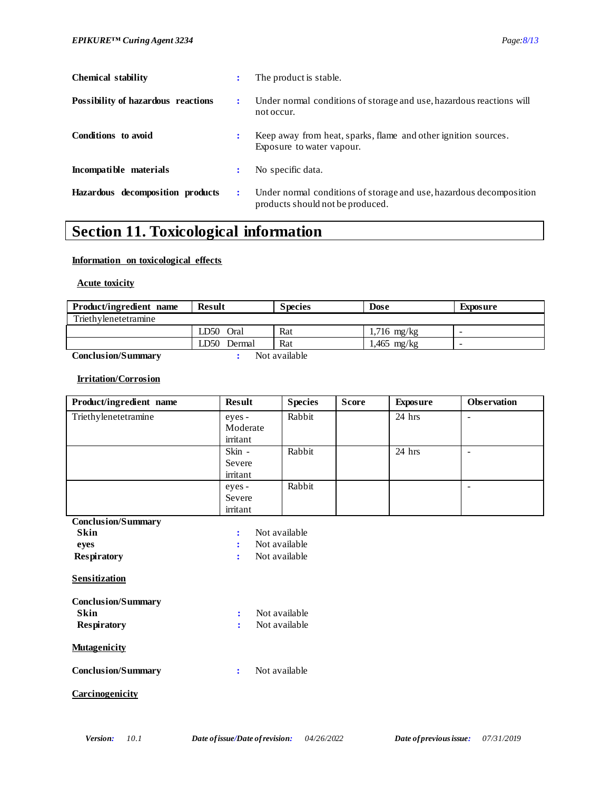| 'aoo<br>Λz |  |
|------------|--|
|            |  |

| <b>Chemical stability</b>          |                      | The product is stable.                                                                                  |
|------------------------------------|----------------------|---------------------------------------------------------------------------------------------------------|
| Possibility of hazardous reactions | $\ddot{\phantom{a}}$ | Under normal conditions of storage and use, hazardous reactions will<br>not occur.                      |
| Conditions to avoid                | :                    | Keep away from heat, sparks, flame and other ignition sources.<br>Exposure to water vapour.             |
| Incompatible materials             | :                    | No specific data.                                                                                       |
| Hazardous decomposition products   | $\ddot{\phantom{a}}$ | Under normal conditions of storage and use, hazardous decomposition<br>products should not be produced. |

# **Section 11. Toxicological information**

#### **Information on toxicological effects**

 **Acute toxicity**

| Product/ingredient name   | <b>Result</b> | <b>Species</b> | <b>Dose</b>   | Exposure |
|---------------------------|---------------|----------------|---------------|----------|
| Triethylenetetramine      |               |                |               |          |
|                           | LD50 Oral     | Rat            | $1,716$ mg/kg | -        |
|                           | LD50 Dermal   | Rat            | $1,465$ mg/kg | -        |
| <b>Conclusion/Summary</b> |               | Not available  |               |          |

#### **Irritation/Corrosion**

| Product/ingredient name | <b>Result</b>                  | <b>Species</b> | <b>Score</b> | Exposure | <b>Observation</b> |
|-------------------------|--------------------------------|----------------|--------------|----------|--------------------|
| Triethylenetetramine    | eyes -<br>Moderate<br>irritant | Rabbit         |              | $24$ hrs | ۰                  |
|                         | Skin -<br>Severe<br>irritant   | Rabbit         |              | 24 hrs   |                    |
|                         | eyes -<br>Severe<br>irritant   | Rabbit         |              |          |                    |

**Conclusion/Summary**

| <b>Skin</b>        | : Not available |
|--------------------|-----------------|
| eves               | : Not available |
| <b>Respiratory</b> | : Not available |

**Sensitization**

| <b>Conclusion/Summary</b> |               |
|---------------------------|---------------|
| Skin                      | Not available |

|                    | Not available |
|--------------------|---------------|
| <b>Respiratory</b> |               |

#### **Mutagenicity**

**Conclusion/Summary :** Not available

#### **Carcinogenicity**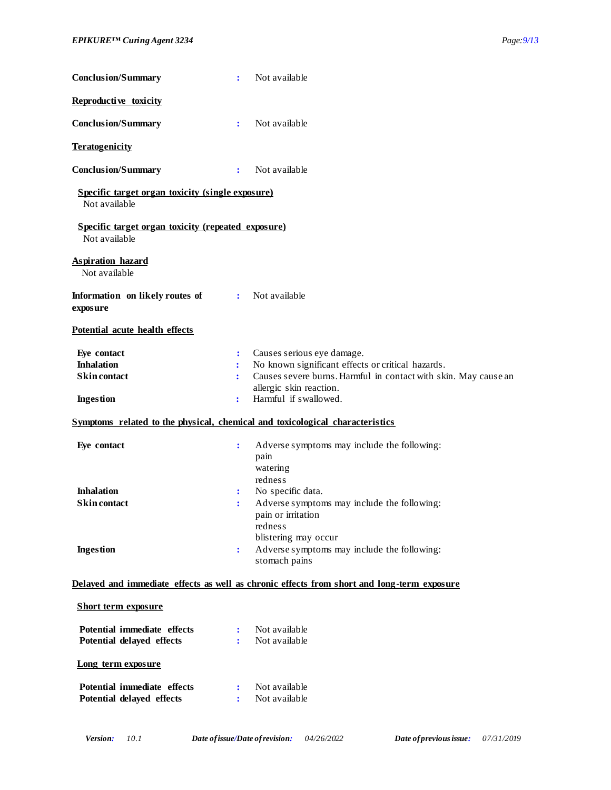| Reproductive toxicity<br>Not available<br><b>Conclusion/Summary</b><br>÷<br><b>Teratogenicity</b><br><b>Conclusion/Summary</b><br>Not available<br>$\ddot{\cdot}$<br>Specific target organ toxicity (single exposure)<br>Not available<br>Specific target organ toxicity (repeated exposure)<br>Not available<br><b>Aspiration hazard</b><br>Not available<br>Not available<br>Information on likely routes of<br>$\ddot{\cdot}$<br>exposure<br>Potential acute health effects<br>Eye contact<br>Causes serious eye damage.<br>$\ddot{\cdot}$ |
|-----------------------------------------------------------------------------------------------------------------------------------------------------------------------------------------------------------------------------------------------------------------------------------------------------------------------------------------------------------------------------------------------------------------------------------------------------------------------------------------------------------------------------------------------|
|                                                                                                                                                                                                                                                                                                                                                                                                                                                                                                                                               |
|                                                                                                                                                                                                                                                                                                                                                                                                                                                                                                                                               |
|                                                                                                                                                                                                                                                                                                                                                                                                                                                                                                                                               |
|                                                                                                                                                                                                                                                                                                                                                                                                                                                                                                                                               |
|                                                                                                                                                                                                                                                                                                                                                                                                                                                                                                                                               |
|                                                                                                                                                                                                                                                                                                                                                                                                                                                                                                                                               |
|                                                                                                                                                                                                                                                                                                                                                                                                                                                                                                                                               |
|                                                                                                                                                                                                                                                                                                                                                                                                                                                                                                                                               |
|                                                                                                                                                                                                                                                                                                                                                                                                                                                                                                                                               |
| <b>Inhalation</b><br>No known significant effects or critical hazards.<br>÷<br><b>Skin contact</b><br>Causes severe burns. Harmful in contact with skin. May cause an<br>÷<br>allergic skin reaction.<br>Harmful if swallowed.<br><b>Ingestion</b><br>÷                                                                                                                                                                                                                                                                                       |
| Symptoms related to the physical, chemical and toxicological characteristics                                                                                                                                                                                                                                                                                                                                                                                                                                                                  |
| Eye contact<br>Adverse symptoms may include the following:<br>$\ddot{\cdot}$<br>pain<br>watering<br>redness                                                                                                                                                                                                                                                                                                                                                                                                                                   |
| <b>Inhalation</b><br>No specific data.<br>÷<br><b>Skin</b> contact<br>Adverse symptoms may include the following:<br>$\ddot{\cdot}$<br>pain or irritation<br>redness<br>blistering may occur<br>Adverse symptoms may include the following:<br><b>Ingestion</b><br>÷                                                                                                                                                                                                                                                                          |
| stomach pains<br>Delayed and immediate effects as well as chronic effects from short and long-term exposure                                                                                                                                                                                                                                                                                                                                                                                                                                   |
| <b>Short term exposure</b>                                                                                                                                                                                                                                                                                                                                                                                                                                                                                                                    |
| Potential immediate effects<br>Not available<br>$\ddot{\cdot}$<br>Potential delayed effects<br>Not available<br>÷                                                                                                                                                                                                                                                                                                                                                                                                                             |
| Long term exposure                                                                                                                                                                                                                                                                                                                                                                                                                                                                                                                            |
| Potential immediate effects<br>Not available<br>÷<br>Potential delayed effects<br>Not available<br>÷                                                                                                                                                                                                                                                                                                                                                                                                                                          |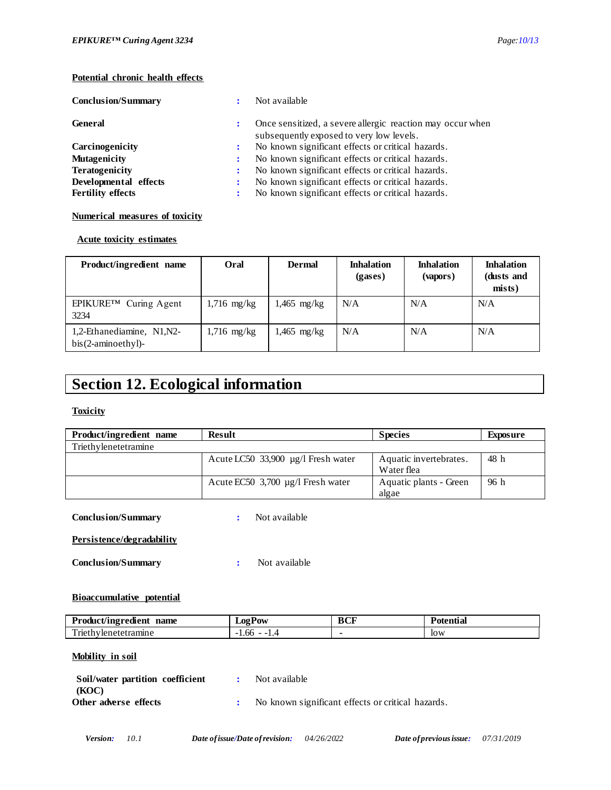#### **Potential chronic health effects**

| <b>Conclusion/Summary</b> |                      | Not available                                                                                          |
|---------------------------|----------------------|--------------------------------------------------------------------------------------------------------|
| <b>General</b>            | ÷                    | Once sensitized, a severe allergic reaction may occur when<br>subsequently exposed to very low levels. |
| Carcinogenicity           | $\ddot{\phantom{a}}$ | No known significant effects or critical hazards.                                                      |
| <b>Mutagenicity</b>       | :                    | No known significant effects or critical hazards.                                                      |
| <b>Teratogenicity</b>     | ÷                    | No known significant effects or critical hazards.                                                      |
| Developmental effects     |                      | No known significant effects or critical hazards.                                                      |
| <b>Fertility effects</b>  | $\ddot{\cdot}$       | No known significant effects or critical hazards.                                                      |

#### **Numerical measures of toxicity**

#### **Acute toxicity estimates**

| Product/ingredient name                             | Oral          | <b>Dermal</b> | <b>Inhalation</b><br>(gases) | <b>Inhalation</b><br>(vapors) | <b>Inhalation</b><br>(dusts and<br>mists) |
|-----------------------------------------------------|---------------|---------------|------------------------------|-------------------------------|-------------------------------------------|
| EPIKURE™ Curing Agent<br>3234                       | $1,716$ mg/kg | $1,465$ mg/kg | N/A                          | N/A                           | N/A                                       |
| 1,2-Ethanediamine, N1, N2-<br>$bis(2-aminoethyl)$ - | $1,716$ mg/kg | $1,465$ mg/kg | N/A                          | N/A                           | N/A                                       |

# **Section 12. Ecological information**

#### **Toxicity**

| Product/ingredient name | Result                                 | <b>Species</b>                       | Exposure |
|-------------------------|----------------------------------------|--------------------------------------|----------|
| Triethylenetetramine    |                                        |                                      |          |
|                         | Acute LC50 33,900 µg/l Fresh water     | Aquatic invertebrates.<br>Water flea | 48 h     |
|                         | Acute EC50 $3,700 \mu g/l$ Fresh water | Aquatic plants - Green<br>algae      | 96 h     |

#### **Conclusion/Summary :** Not available

#### **Persistence/degradability**

**Conclusion/Summary :** Not available

#### **Bioaccumulative potential**

| name<br>Product/ingredient             | <b>⊥02P0W</b> | BCF | 'otentia |
|----------------------------------------|---------------|-----|----------|
| $\mathbf{m}$ .<br>Triethylenetetramine | -1.00<br>. .  |     | low      |

#### **Mobility in soil**

| Soil/water partition coefficient | Not available                                     |
|----------------------------------|---------------------------------------------------|
| (KOC)                            |                                                   |
| Other adverse effects            | No known significant effects or critical hazards. |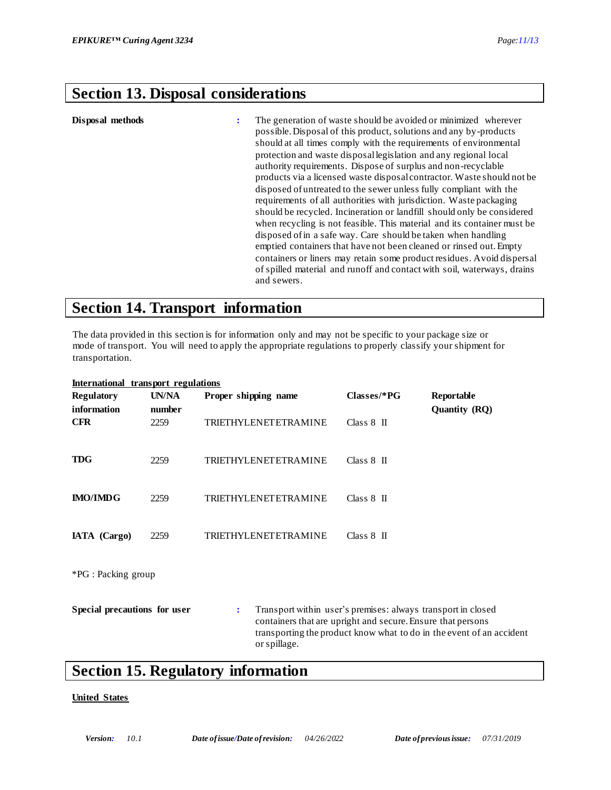# **Section 13. Disposal considerations**

| Disposal methods | ÷ | The generation of waste should be avoided or minimized wherever<br>possible. Disposal of this product, solutions and any by-products<br>should at all times comply with the requirements of environmental<br>protection and waste disposal legislation and any regional local<br>authority requirements. Dispose of surplus and non-recyclable<br>products via a licensed waste disposal contractor. Waste should not be<br>disposed of untreated to the sewer unless fully compliant with the<br>requirements of all authorities with jurisdiction. Wastepackaging<br>should be recycled. Incineration or landfill should only be considered<br>when recycling is not feasible. This material and its container must be<br>disposed of in a safe way. Care should be taken when handling<br>emptied containers that have not been cleaned or rinsed out. Empty<br>containers or liners may retain some product residues. Avoid dispersal |
|------------------|---|-------------------------------------------------------------------------------------------------------------------------------------------------------------------------------------------------------------------------------------------------------------------------------------------------------------------------------------------------------------------------------------------------------------------------------------------------------------------------------------------------------------------------------------------------------------------------------------------------------------------------------------------------------------------------------------------------------------------------------------------------------------------------------------------------------------------------------------------------------------------------------------------------------------------------------------------|
|                  |   | of spilled material and runoff and contact with soil, waterways, drains<br>and sewers.                                                                                                                                                                                                                                                                                                                                                                                                                                                                                                                                                                                                                                                                                                                                                                                                                                                    |

### **Section 14. Transport information**

The data provided in this section is for information only and may not be specific to your package size or mode of transport. You will need to apply the appropriate regulations to properly classify your shipment for transportation.

| International transport regulations |        |                             |                                                                                                                             |                                                                      |
|-------------------------------------|--------|-----------------------------|-----------------------------------------------------------------------------------------------------------------------------|----------------------------------------------------------------------|
| <b>Regulatory</b>                   | UN/NA  | Proper shipping name        | $Classes/*PG$                                                                                                               | Reportable                                                           |
| information                         | number |                             |                                                                                                                             | <b>Quantity (RQ)</b>                                                 |
| <b>CFR</b>                          | 2259   | <b>TRIETHYLENETETRAMINE</b> | Class $8$ II                                                                                                                |                                                                      |
| <b>TDG</b>                          | 2259   | <b>TRIETHYLENETETRAMINE</b> | $Class 8$ II                                                                                                                |                                                                      |
| <b>IMO/IMDG</b>                     | 2259   | TRIETHYLENETETRAMINE        | Class $8$ II                                                                                                                |                                                                      |
| IATA (Cargo)                        | 2259   | TRIETHYLENETETRAMINE        | Class $8$ II                                                                                                                |                                                                      |
| *PG : Packing group                 |        |                             |                                                                                                                             |                                                                      |
| Special precautions for user        |        | ÷<br>or spillage.           | Transport within user's premises: always transport in closed<br>containers that are upright and secure. Ensure that persons | transporting the product know what to do in the event of an accident |

# **Section 15. Regulatory information**

#### **United States**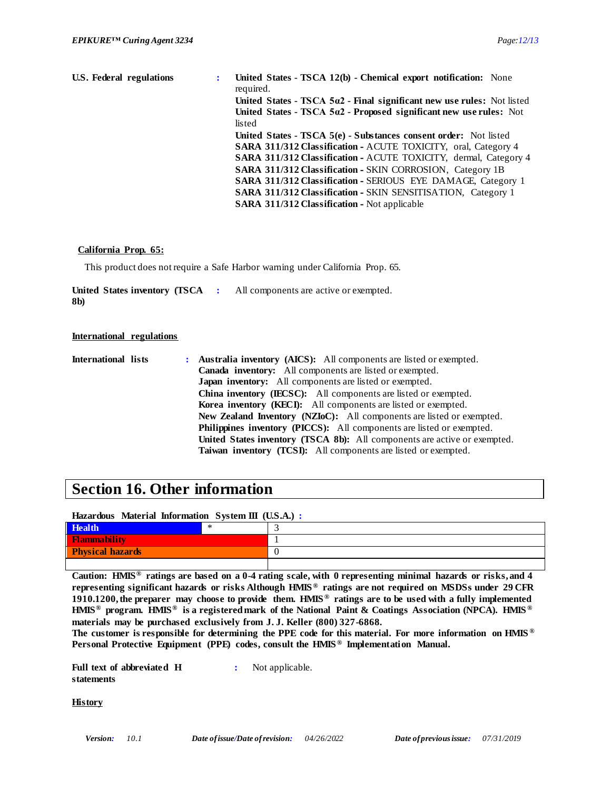| U.S. Federal regulations | United States - TSCA 12(b) - Chemical export notification: None<br>required. |
|--------------------------|------------------------------------------------------------------------------|
|                          | United States - TSCA $5a2$ - Final significant new use rules: Not listed     |
|                          | United States - TSCA $5a2$ - Proposed significant new use rules: Not         |
|                          | listed                                                                       |
|                          | United States - TSCA 5(e) - Substances consent order: Not listed             |
|                          | <b>SARA 311/312 Classification - ACUTE TOXICITY, oral, Category 4</b>        |
|                          | <b>SARA 311/312 Classification - ACUTE TOXICITY, dermal, Category 4</b>      |
|                          | <b>SARA 311/312 Classification - SKIN CORROSION, Category 1B</b>             |
|                          | <b>SARA 311/312 Classification - SERIOUS EYE DAMAGE, Category 1</b>          |
|                          | <b>SARA 311/312 Classification - SKIN SENSITISATION, Category 1</b>          |
|                          | <b>SARA 311/312 Classification - Not applicable</b>                          |

#### **California Prop. 65:**

This product does not require a Safe Harbor warning under California Prop. 65.

United States inventory (TSCA : All components are active or exempted. **8b)**

#### **International regulations**

**International lists : Australia inventory (AICS):** All components are listed or exempted. **Canada inventory:** All components are listed or exempted. **Japan inventory:** All components are listed or exempted. **China inventory (IECSC):** All components are listed or exempted. **Korea inventory (KECI):** All components are listed or exempted. **New Zealand Inventory (NZIoC):** All components are listed or exempted. **Philippines inventory (PICCS):** All components are listed or exempted. **United States inventory (TSCA 8b):** All components are active or exempted. **Taiwan inventory (TCSI):** All components are listed or exempted.

### **Section 16. Other information**

#### **Hazardous Material Information System III (U.S.A.) :**

| Health<br>$\overline{\phantom{a}}$ | ∗ |  |
|------------------------------------|---|--|
| <b>Flammability</b>                |   |  |
| <b>Physical hazards</b>            |   |  |
|                                    |   |  |

**Caution: HMIS® ratings are based on a 0-4 rating scale, with 0 representing minimal hazards or risks, and 4 representing significant hazards or risks Although HMIS ® ratings are not required on MSDSs under 29 CFR 1910.1200, the preparer may choose to provide them. HMIS ® ratings are to be used with a fully implemented HMIS® program. HMIS® is a registered mark of the National Paint & Coatings Association (NPCA). HMIS ® materials may be purchased exclusively from J. J. Keller (800) 327-6868.**

**The customer is responsible for determining the PPE code for this material. For more information on HMIS ® Personal Protective Equipment (PPE) codes, consult the HMIS ® Implementation Manual.**

**Full text of abbreviated H statements :** Not applicable.

**History**